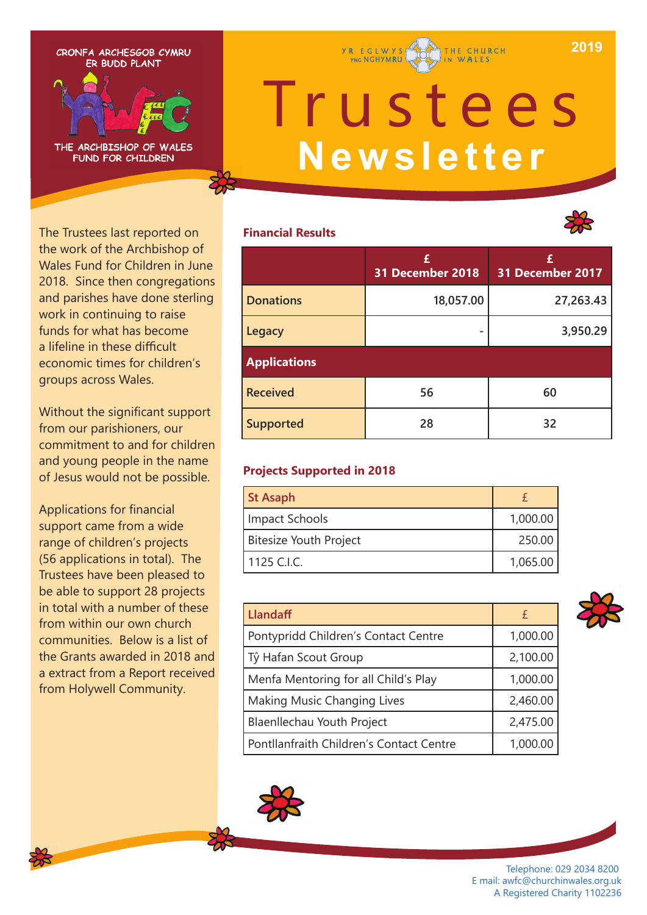**2019**

CRONFA ARCHESGOB CYMRU ER BUDD PLANT



# Trustees **Newsletter**

THE CHURCH

**Y R E G L W Y S** 

## **Financial Results**



The Trustees last reported on the work of the Archbishop of Wales Fund for Children in June 2018. Since then congregations and parishes have done sterling work in continuing to raise funds for what has become a lifeline in these difficult economic times for children's groups across Wales.

Without the significant support from our parishioners, our commitment to and for children and young people in the name of Jesus would not be possible.

Applications for financial support came from a wide range of children's projects (56 applications in total). The Trustees have been pleased to be able to support 28 projects in total with a number of these from within our own church communities. Below is a list of the Grants awarded in 2018 and a extract from a Report received from Holywell Community.

|                     | £<br>31 December 2018 | £<br>31 December 2017 |
|---------------------|-----------------------|-----------------------|
| <b>Donations</b>    | 18,057.00             | 27,263.43             |
| Legacy              |                       | 3,950.29              |
| <b>Applications</b> |                       |                       |
| <b>Received</b>     | 56                    | 60                    |
| <b>Supported</b>    | 28                    | 32                    |

## **Projects Supported in 2018**

| <b>St Asaph</b>        |          |
|------------------------|----------|
| Impact Schools         | 1,000.00 |
| Bitesize Youth Project | 250.00   |
| 1125 C.I.C.            | 1,065.00 |

| Llandaff                                 |          |
|------------------------------------------|----------|
| Pontypridd Children's Contact Centre     | 1,000.00 |
| Tŷ Hafan Scout Group                     | 2,100.00 |
| Menfa Mentoring for all Child's Play     | 1,000.00 |
| Making Music Changing Lives              | 2,460.00 |
| Blaenllechau Youth Project               | 2,475.00 |
| Pontllanfraith Children's Contact Centre | 1,000.00 |





Telephone: 029 2034 8200 E mail: awfc@churchinwales.org.uk A Registered Charity 1102236